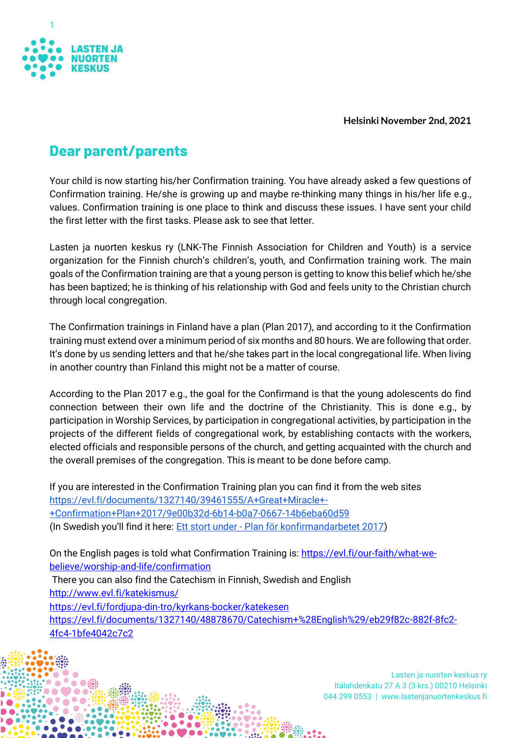

**Helsinki November 2nd, 2021**

## **Dear parent/parents**

Your child is now starting his/her Confirmation training. You have already asked a few questions of Confirmation training. He/she is growing up and maybe re-thinking many things in his/her life e.g., values. Confirmation training is one place to think and discuss these issues. I have sent your child the first letter with the first tasks. Please ask to see that letter.

Lasten ja nuorten keskus ry (LNK-The Finnish Association for Children and Youth) is a service organization for the Finnish church's children's, youth, and Confirmation training work. The main goals of the Confirmation training are that a young person is getting to know this belief which he/she has been baptized; he is thinking of his relationship with God and feels unity to the Christian church through local congregation.

The Confirmation trainings in Finland have a plan (Plan 2017), and according to it the Confirmation training must extend over a minimum period of six months and 80 hours. We are following that order. It's done by us sending letters and that he/she takes part in the local congregational life. When living in another country than Finland this might not be a matter of course.

According to the Plan 2017 e.g., the goal for the Confirmand is that the young adolescents do find connection between their own life and the doctrine of the Christianity. This is done e.g., by participation in Worship Services, by participation in congregational activities, by participation in the projects of the different fields of congregational work, by establishing contacts with the workers, elected officials and responsible persons of the church, and getting acquainted with the church and the overall premises of the congregation. This is meant to be done before camp.

If you are interested in the Confirmation Training plan you can find it from the web sites [https://evl.fi/documents/1327140/39461555/A+Great+Miracle+-](https://evl.fi/documents/1327140/39461555/A+Great+Miracle+-+Confirmation+Plan+2017/9e00b32d-6b14-b0a7-0667-14b6eba60d59) [+Confirmation+Plan+2017/9e00b32d-6b14-b0a7-0667-14b6eba60d59](https://evl.fi/documents/1327140/39461555/A+Great+Miracle+-+Confirmation+Plan+2017/9e00b32d-6b14-b0a7-0667-14b6eba60d59) (In Swedish you'll find it here: Ett stort under - [Plan för konfirmandarbetet 2017\)](https://evl.fi/documents/1327140/38206115/Ett+stort+under-+Plan+f%C3%B6r+konfirmandarbetet+2017/58f1d773-b3c3-3143-5f83-b6676f7cabca)

On the English pages is told what Confirmation Training is: [https://evl.fi/our-faith/what-we](https://evl.fi/our-faith/what-we-believe/worship-and-life/confirmation)[believe/worship-and-life/confirmation](https://evl.fi/our-faith/what-we-believe/worship-and-life/confirmation) There you can also find the Catechism in Finnish, Swedish and English

<http://www.evl.fi/katekismus/>

<https://evl.fi/fordjupa-din-tro/kyrkans-bocker/katekesen>

[https://evl.fi/documents/1327140/48878670/Catechism+%28English%29/eb29f82c-882f-8fc2-](https://evl.fi/documents/1327140/48878670/Catechism+%28English%29/eb29f82c-882f-8fc2-4fc4-1bfe4042c7c2) [4fc4-1bfe4042c7c2](https://evl.fi/documents/1327140/48878670/Catechism+%28English%29/eb29f82c-882f-8fc2-4fc4-1bfe4042c7c2)

> Lasten ja nuorten keskus ry Itälahdenkatu 27 A 3 (3 krs.) 00210 Helsinki 044 299 0553 | www.lastenjanuortenkeskus.fi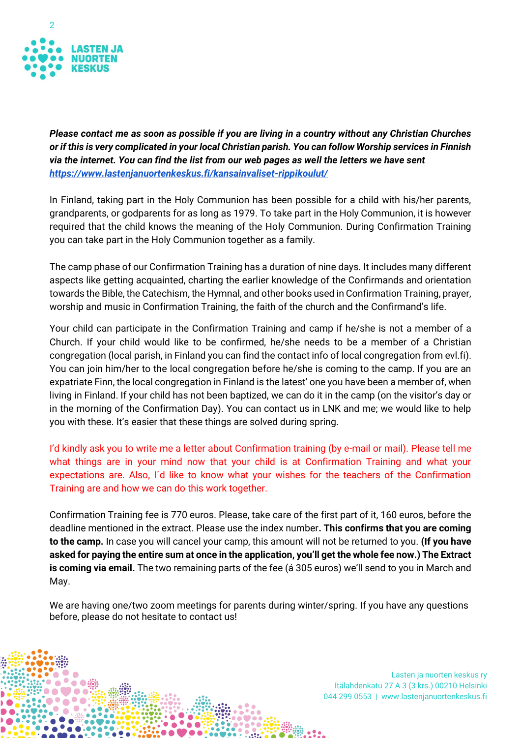

*Please contact me as soon as possible if you are living in a country without any Christian Churches or if this is very complicated in your local Christian parish. You can follow Worship services in Finnish via the internet. You can find the list from our web pages as well the letters we have sent <https://www.lastenjanuortenkeskus.fi/kansainvaliset-rippikoulut/>*

In Finland, taking part in the Holy Communion has been possible for a child with his/her parents, grandparents, or godparents for as long as 1979. To take part in the Holy Communion, it is however required that the child knows the meaning of the Holy Communion. During Confirmation Training you can take part in the Holy Communion together as a family.

The camp phase of our Confirmation Training has a duration of nine days. It includes many different aspects like getting acquainted, charting the earlier knowledge of the Confirmands and orientation towards the Bible, the Catechism, the Hymnal, and other books used in Confirmation Training, prayer, worship and music in Confirmation Training, the faith of the church and the Confirmand's life.

Your child can participate in the Confirmation Training and camp if he/she is not a member of a Church. If your child would like to be confirmed, he/she needs to be a member of a Christian congregation (local parish, in Finland you can find the contact info of local congregation from evl.fi). You can join him/her to the local congregation before he/she is coming to the camp. If you are an expatriate Finn, the local congregation in Finland is the latest' one you have been a member of, when living in Finland. If your child has not been baptized, we can do it in the camp (on the visitor's day or in the morning of the Confirmation Day). You can contact us in LNK and me; we would like to help you with these. It's easier that these things are solved during spring.

I'd kindly ask you to write me a letter about Confirmation training (by e-mail or mail). Please tell me what things are in your mind now that your child is at Confirmation Training and what your expectations are. Also, I´d like to know what your wishes for the teachers of the Confirmation Training are and how we can do this work together.

Confirmation Training fee is 770 euros. Please, take care of the first part of it, 160 euros, before the deadline mentioned in the extract. Please use the index number**. This confirms that you are coming to the camp.** In case you will cancel your camp, this amount will not be returned to you. **(If you have asked for paying the entire sum at once in the application, you'll get the whole fee now.) The Extract is coming via email.** The two remaining parts of the fee (á 305 euros) we'll send to you in March and May.

We are having one/two zoom meetings for parents during winter/spring. If you have any questions before, please do not hesitate to contact us!

> Lasten ja nuorten keskus ry Itälahdenkatu 27 A 3 (3 krs.) 00210 Helsinki 044 299 0553 | www.lastenjanuortenkeskus.fi